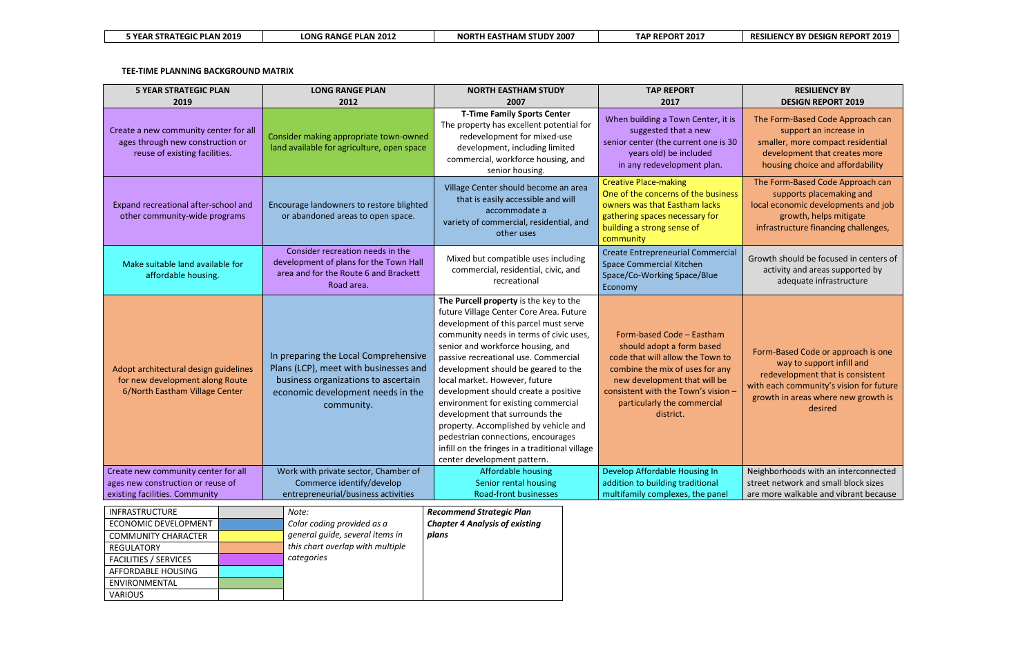| <b>5 YEAR STRATEGIC PLAN 2019</b> | <b>LONG RANGE PLAN 2012</b> | <b>NORTH EASTHAM STUDY 2007</b> | <b>TAP REPORT 2017</b> | <b>RE</b> |
|-----------------------------------|-----------------------------|---------------------------------|------------------------|-----------|
|-----------------------------------|-----------------------------|---------------------------------|------------------------|-----------|

**TEE-TIME PLANNING BACKGROUND MATRIX**

## **RESILIENCY BY DESIGN REPORT 2019**

ne Form-Based Code Approach can support an increase in smaller, more compact residential development that creates more housing choice and affordability

ne Form-Based Code Approach can supports placemaking and cal economic developments and job growth, helps mitigate **infrastructure financing challenges,** 

wth should be focused in centers of activity and areas supported by adequate infrastructure

orm-Based Code or approach is one way to support infill and redevelopment that is consistent h each community's vision for future owth in areas where new growth is desired

ghborhoods with an interconnected et network and small block sizes more walkable and vibrant because

| <b>5 YEAR STRATEGIC PLAN</b><br>2019                                                                                                                                               |  | <b>LONG RANGE PLAN</b><br>2012                                                                                                                                                                                                  | <b>NORTH EASTHAM STUDY</b><br>2007                                                                                                                                                                                                                                                                                                                                                                                                                                                                                                                                                                          | <b>TAP REPORT</b><br>2017                                                                                                                                                                                                                        |                   |
|------------------------------------------------------------------------------------------------------------------------------------------------------------------------------------|--|---------------------------------------------------------------------------------------------------------------------------------------------------------------------------------------------------------------------------------|-------------------------------------------------------------------------------------------------------------------------------------------------------------------------------------------------------------------------------------------------------------------------------------------------------------------------------------------------------------------------------------------------------------------------------------------------------------------------------------------------------------------------------------------------------------------------------------------------------------|--------------------------------------------------------------------------------------------------------------------------------------------------------------------------------------------------------------------------------------------------|-------------------|
| Create a new community center for all<br>ages through new construction or<br>reuse of existing facilities.                                                                         |  | Consider making appropriate town-owned<br>land available for agriculture, open space                                                                                                                                            | <b>T-Time Family Sports Center</b><br>The property has excellent potential for<br>redevelopment for mixed-use<br>development, including limited<br>commercial, workforce housing, and<br>senior housing.                                                                                                                                                                                                                                                                                                                                                                                                    | When building a Town Center, it is<br>suggested that a new<br>senior center (the current one is 30<br>years old) be included<br>in any redevelopment plan.                                                                                       | Tł<br>S           |
| Expand recreational after-school and<br>other community-wide programs                                                                                                              |  | Encourage landowners to restore blighted<br>or abandoned areas to open space.                                                                                                                                                   | Village Center should become an area<br>that is easily accessible and will<br>accommodate a<br>variety of commercial, residential, and<br>other uses                                                                                                                                                                                                                                                                                                                                                                                                                                                        | <b>Creative Place-making</b><br>One of the concerns of the business<br>owners was that Eastham lacks<br>gathering spaces necessary for<br>building a strong sense of<br>community                                                                | Th<br>loc<br>ir   |
| Make suitable land available for<br>affordable housing.                                                                                                                            |  | Consider recreation needs in the<br>Mixed but compatible uses including<br>development of plans for the Town Hall<br>commercial, residential, civic, and<br>area and for the Route 6 and Brackett<br>recreational<br>Road area. |                                                                                                                                                                                                                                                                                                                                                                                                                                                                                                                                                                                                             | <b>Create Entrepreneurial Commercial</b><br><b>Space Commercial Kitchen</b><br>Space/Co-Working Space/Blue<br>Economy                                                                                                                            | Gro               |
| Adopt architectural design guidelines<br>for new development along Route<br>6/North Eastham Village Center                                                                         |  | In preparing the Local Comprehensive<br>Plans (LCP), meet with businesses and<br>business organizations to ascertain<br>economic development needs in the<br>community.                                                         | The Purcell property is the key to the<br>future Village Center Core Area. Future<br>development of this parcel must serve<br>community needs in terms of civic uses,<br>senior and workforce housing, and<br>passive recreational use. Commercial<br>development should be geared to the<br>local market. However, future<br>development should create a positive<br>environment for existing commercial<br>development that surrounds the<br>property. Accomplished by vehicle and<br>pedestrian connections, encourages<br>infill on the fringes in a traditional village<br>center development pattern. | Form-based Code - Eastham<br>should adopt a form based<br>code that will allow the Town to<br>combine the mix of uses for any<br>new development that will be<br>consistent with the Town's vision -<br>particularly the commercial<br>district. | Fo<br>with<br>gro |
| Create new community center for all<br>ages new construction or reuse of                                                                                                           |  | Work with private sector, Chamber of<br>Commerce identify/develop                                                                                                                                                               | <b>Affordable housing</b><br>Senior rental housing                                                                                                                                                                                                                                                                                                                                                                                                                                                                                                                                                          | Develop Affordable Housing In<br>addition to building traditional                                                                                                                                                                                | Neig<br>stre      |
| existing facilities. Community                                                                                                                                                     |  | entrepreneurial/business activities                                                                                                                                                                                             | <b>Road-front businesses</b>                                                                                                                                                                                                                                                                                                                                                                                                                                                                                                                                                                                | multifamily complexes, the panel                                                                                                                                                                                                                 | are               |
| INFRASTRUCTURE<br>ECONOMIC DEVELOPMENT<br><b>COMMUNITY CHARACTER</b><br><b>REGULATORY</b><br><b>FACILITIES / SERVICES</b><br>AFFORDABLE HOUSING<br>ENVIRONMENTAL<br><b>VARIOUS</b> |  | Note:<br>Color coding provided as a<br>general guide, several items in<br>this chart overlap with multiple<br>categories                                                                                                        | <b>Recommend Strategic Plan</b><br><b>Chapter 4 Analysis of existing</b><br>plans                                                                                                                                                                                                                                                                                                                                                                                                                                                                                                                           |                                                                                                                                                                                                                                                  |                   |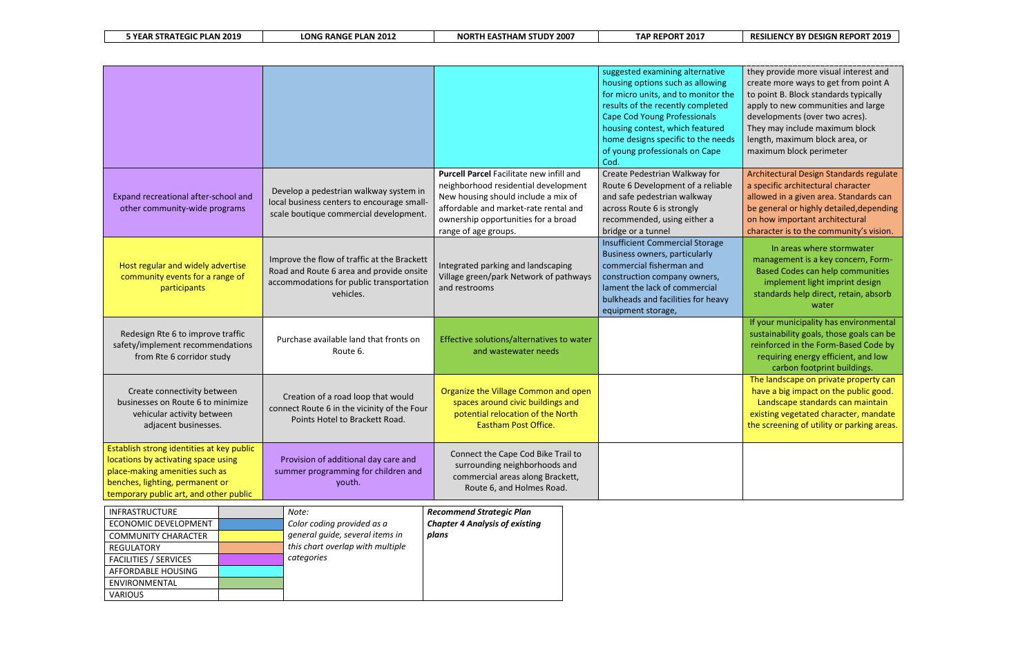## **5 YEAR STRATEGIC PLAN 2019 LONG RANGE PLAN 2012 NORTH EASTHAM STUDY 2007 TAP REPORT 2017 RESILIENCY BY DESIGN REPORT 2019**

provide more visual interest and te more ways to get from point A oint B. Block standards typically y to new communities and large lopments (over two acres). may include maximum block th, maximum block area, or imum block perimeter

itectural Design Standards regulate ecific architectural character ved in a given area. Standards can eneral or highly detailed,depending ow important architectural acter is to the community's vision.

| 5 YEAR STRATEGIC PLAN 2019 |  |
|----------------------------|--|
|----------------------------|--|

|                                                                                                                                                                                                 |  |                                                                                                                                                  |                                                                                                                                                                                                                                        | suggested examining alternative<br>housing options such as allowing<br>for micro units, and to monitor the<br>results of the recently completed<br><b>Cape Cod Young Professionals</b><br>housing contest, which featured<br>home designs specific to the needs<br>of young professionals on Cape<br>Cod. | they<br>creat<br>to po<br>apply<br>deve<br>They<br>lengt<br>maxi |
|-------------------------------------------------------------------------------------------------------------------------------------------------------------------------------------------------|--|--------------------------------------------------------------------------------------------------------------------------------------------------|----------------------------------------------------------------------------------------------------------------------------------------------------------------------------------------------------------------------------------------|-----------------------------------------------------------------------------------------------------------------------------------------------------------------------------------------------------------------------------------------------------------------------------------------------------------|------------------------------------------------------------------|
| Expand recreational after-school and<br>other community-wide programs                                                                                                                           |  | Develop a pedestrian walkway system in<br>local business centers to encourage small-<br>scale boutique commercial development.                   | <b>Purcell Parcel Facilitate new infill and</b><br>neighborhood residential development<br>New housing should include a mix of<br>affordable and market-rate rental and<br>ownership opportunities for a broad<br>range of age groups. | Create Pedestrian Walkway for<br>Route 6 Development of a reliable<br>and safe pedestrian walkway<br>across Route 6 is strongly<br>recommended, using either a<br>bridge or a tunnel                                                                                                                      | Archi<br>a spe<br>allow<br>be ge<br>on ho<br>chara               |
| Host regular and widely advertise<br>community events for a range of<br>participants                                                                                                            |  | Improve the flow of traffic at the Brackett<br>Road and Route 6 area and provide onsite<br>accommodations for public transportation<br>vehicles. | Integrated parking and landscaping<br>Village green/park Network of pathways<br>and restrooms                                                                                                                                          | <b>Insufficient Commercial Storage</b><br><b>Business owners, particularly</b><br>commercial fisherman and<br>construction company owners,<br>lament the lack of commercial<br>bulkheads and facilities for heavy<br>equipment storage,                                                                   | mai<br>Ba<br>stal                                                |
| Redesign Rte 6 to improve traffic<br>safety/implement recommendations<br>from Rte 6 corridor study                                                                                              |  | Purchase available land that fronts on<br>Route 6.                                                                                               | Effective solutions/alternatives to water<br>and wastewater needs                                                                                                                                                                      |                                                                                                                                                                                                                                                                                                           | If yo<br>susta<br>rein<br>re                                     |
| Create connectivity between<br>businesses on Route 6 to minimize<br>vehicular activity between<br>adjacent businesses.                                                                          |  | Creation of a road loop that would<br>connect Route 6 in the vicinity of the Four<br>Points Hotel to Brackett Road.                              | Organize the Village Common and open<br>spaces around civic buildings and<br>potential relocation of the North<br><b>Eastham Post Office.</b>                                                                                          |                                                                                                                                                                                                                                                                                                           | <b>The</b><br>hav<br>La<br>exist<br>the s                        |
| Establish strong identities at key public<br>locations by activating space using<br>place-making amenities such as<br>benches, lighting, permanent or<br>temporary public art, and other public |  | Provision of additional day care and<br>summer programming for children and<br>youth.                                                            | Connect the Cape Cod Bike Trail to<br>surrounding neighborhoods and<br>commercial areas along Brackett,<br>Route 6, and Holmes Road.                                                                                                   |                                                                                                                                                                                                                                                                                                           |                                                                  |
| INFRASTRUCTURE<br>ECONOMIC DEVELOPMENT<br><b>COMMUNITY CHARACTER</b><br><b>REGULATORY</b><br><b>FACILITIES / SERVICES</b><br>AFFORDABLE HOUSING<br>ENVIRONMENTAL<br><b>VARIOUS</b>              |  | Note:<br>Color coding provided as a<br>general quide, several items in<br>this chart overlap with multiple<br>categories                         | <b>Recommend Strategic Plan</b><br><b>Chapter 4 Analysis of existing</b><br>plans                                                                                                                                                      |                                                                                                                                                                                                                                                                                                           |                                                                  |

In areas where stormwater nagement is a key concern, Formsed Codes can help communities implement light imprint design ndards help direct, retain, absorb water

Iur municipality has environmental ainability goals, those goals can be iforced in the Form-Based Code by equiring energy efficient, and low carbon footprint buildings. landscape on private property can e a big impact on the public good. Indscape standards can maintain ting vegetated character, mandate

creening of utility or parking areas.